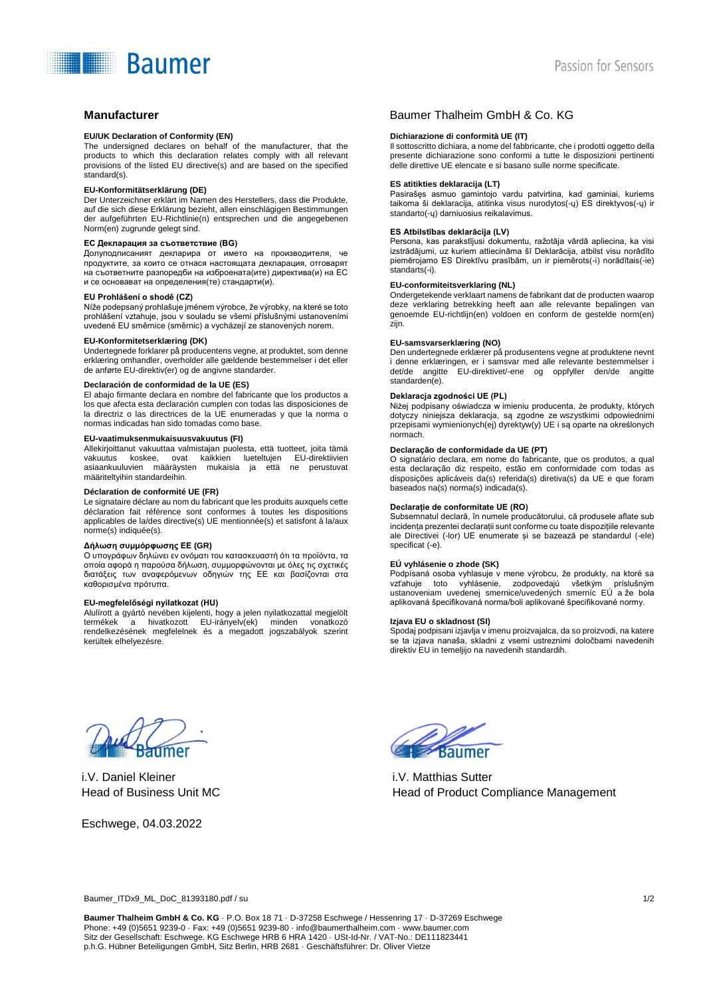# **Baumer**

#### **EU/UK Declaration of Conformity (EN)**

The undersigned declares on behalf of the manufacturer, that the products to which this declaration relates comply with all relevant provisions of the listed EU directive(s) and are based on the specified standard(s).

#### **EU-Konformitätserklärung (DE)**

Der Unterzeichner erklärt im Namen des Herstellers, dass die Produkte, auf die sich diese Erklärung bezieht, allen einschlägigen Bestimmungen der aufgeführten EU-Richtlinie(n) entsprechen und die angegebenen Norm(en) zugrunde gelegt sind.

#### **ЕС Декларация за съответствие (BG)**

Долуподписаният декларира от името на производителя, че продуктите, за които се отнася настоящата декларация, отговарят на съответните разпоредби на изброената(ите) директива(и) на ЕС и се основават на определения(те) стандарти(и).

#### **EU Prohlášení o shodě (CZ)**

Níže podepsaný prohlašuje jménem výrobce, že výrobky, na které se toto prohlášení vztahuje, jsou v souladu se všemi příslušnými ustanoveními uvedené EU směrnice (směrnic) a vycházejí ze stanovených norem.

### **EU-Konformitetserklæring (DK)**

Undertegnede forklarer på producentens vegne, at produktet, som denne erklæring omhandler, overholder alle gældende bestemmelser i det eller de anførte EU-direktiv(er) og de angivne standarder.

#### **Declaración de conformidad de la UE (ES)**

El abajo firmante declara en nombre del fabricante que los productos a los que afecta esta declaración cumplen con todas las disposiciones de la directriz o las directrices de la UE enumeradas y que la norma o normas indicadas han sido tomadas como base.

#### **EU-vaatimuksenmukaisuusvakuutus (FI)**

Allekirjoittanut vakuuttaa valmistajan puolesta, että tuotteet, joita tämä ovat kaikkien lueteltujen EU-direktiivien asiaankuuluvien määräysten mukaisia ja että ne perustuvat määriteltyihin standardeihin.

#### **Déclaration de conformité UE (FR)**

Le signataire déclare au nom du fabricant que les produits auxquels cette déclaration fait référence sont conformes à toutes les dispositions applicables de la/des directive(s) UE mentionnée(s) et satisfont à la/aux norme(s) indiquée(s).

#### **Δήλωση συμμόρφωσης ΕΕ (GR)**

Ο υπογράφων δηλώνει εν ονόματι του κατασκευαστή ότι τα προϊόντα, τα οποία αφορά η παρούσα δήλωση, συμμορφώνονται με όλες τις σχετικές διατάξεις των αναφερόμενων οδηγιών της ΕΕ και βασίζονται στα καθορισμένα πρότυπα.

#### **EU-megfelelőségi nyilatkozat (HU)**

Alulírott a gyártó nevében kijelenti, hogy a jelen nyilatkozattal megjelölt termékek a hivatkozott EU-irányelv(ek) minden vonatkozó rendelkezésének megfelelnek és a megadott jogszabályok szerint kerültek elhelyezésre.

# **Manufacturer** Baumer Thalheim GmbH & Co. KG

#### **Dichiarazione di conformità UE (IT)**

Il sottoscritto dichiara, a nome del fabbricante, che i prodotti oggetto della presente dichiarazione sono conformi a tutte le disposizioni pertinenti delle direttive UE elencate e si basano sulle norme specificate.

#### **ES atitikties deklaracija (LT)**

Pasirašęs asmuo gamintojo vardu patvirtina, kad gaminiai, kuriems taikoma ši deklaracija, atitinka visus nurodytos(-ų) ES direktyvos(-ų) ir standarto(-ų) darniuosius reikalavimus.

#### **ES Atbilstības deklarācija (LV)**

Persona, kas parakstījusi dokumentu, ražotāja vārdā apliecina, ka visi izstrādājumi, uz kuriem attiecināma šī Deklarācija, atbilst visu norādīto piemērojamo ES Direktīvu prasībām, un ir piemērots(-i) norādītais(-ie) standarts(-i).

#### **EU-conformiteitsverklaring (NL)**

Ondergetekende verklaart namens de fabrikant dat de producten waarop deze verklaring betrekking heeft aan alle relevante bepalingen van genoemde EU-richtlijn(en) voldoen en conform de gestelde norm(en) zijn.

#### **EU-samsvarserklæring (NO)**

Den undertegnede erklærer på produsentens vegne at produktene nevnt i denne erklæringen, er i samsvar med alle relevante bestemmelser i det/de angitte EU-direktivet/-ene og oppfyller den/de angitte standarden(e).

#### **Deklaracja zgodności UE (PL)**

Niżej podpisany oświadcza w imieniu producenta, że produkty, których dotyczy niniejsza deklaracja, są zgodne ze wszystkimi odpowiednimi przepisami wymienionych(ej) dyrektyw(y) UE i są oparte na określonych normach.

#### **Declaração de conformidade da UE (PT)**

O signatário declara, em nome do fabricante, que os produtos, a qual esta declaração diz respeito, estão em conformidade com todas as disposições aplicáveis da(s) referida(s) diretiva(s) da UE e que foram baseados na(s) norma(s) indicada(s).

#### **Declarație de conformitate UE (RO)**

Subsemnatul declară, în numele producătorului, că produsele aflate sub incidența prezentei declarații sunt conforme cu toate dispozițiile relevante ale Directivei (-lor) UE enumerate și se bazează pe standardul (-ele) specificat (-e).

#### **EÚ vyhlásenie o zhode (SK)**

Podpísaná osoba vyhlasuje v mene výrobcu, že produkty, na ktoré sa vzťahuje toto vyhlásenie, zodpovedajú všetkým príslušným ustanoveniam uvedenej smernice/uvedených smerníc EÚ a že bola aplikovaná špecifikovaná norma/boli aplikované špecifikované normy.

#### **Izjava EU o skladnost (SI)**

Spodaj podpisani izjavlja v imenu proizvajalca, da so proizvodi, na katere se ta izjava nanaša, skladni z vsemi ustreznimi določbami navedenih direktiv EU in temeljijo na navedenih standardih.

i.V. Daniel Kleiner Head of Business Unit MC

Eschwege, 04.03.2022



i.V. Matthias Sutter Head of Product Compliance Management

Baumer\_ITDx9\_ML\_DoC\_81393180.pdf / su 1/2